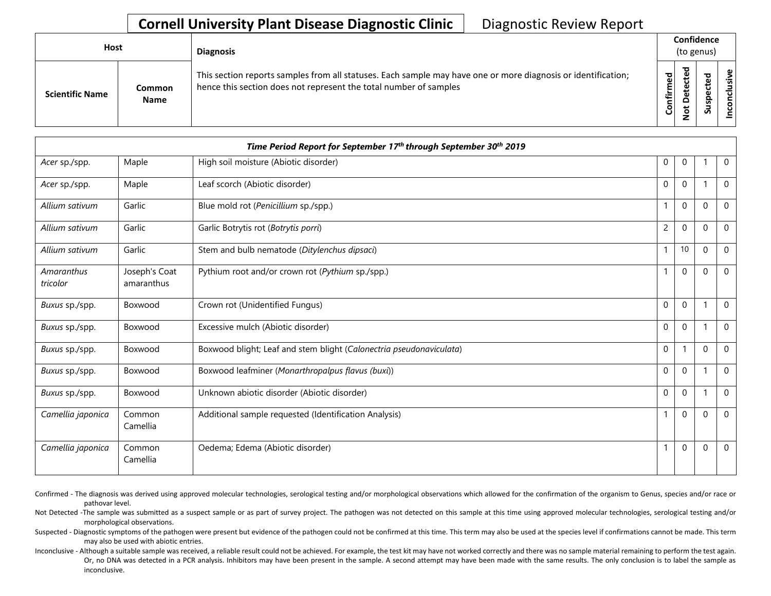| Host                   |                       | <b>Diagnosis</b>                                                                                                                                                                   |             |   | Confidence<br>(to genus) |  |
|------------------------|-----------------------|------------------------------------------------------------------------------------------------------------------------------------------------------------------------------------|-------------|---|--------------------------|--|
| <b>Scientific Name</b> | Common<br><b>Name</b> | This section reports samples from all statuses. Each sample may have one or more diagnosis or identification;<br>hence this section does not represent the total number of samples | ᇃ<br>⇐<br>ပ | ਠ | s<br>$\mathbf{v}$        |  |

|                        |                             | Time Period Report for September 17th through September 30th 2019   |                |              |          |                |
|------------------------|-----------------------------|---------------------------------------------------------------------|----------------|--------------|----------|----------------|
| Acer sp./spp.          | Maple                       | High soil moisture (Abiotic disorder)                               | 0              | $\mathbf 0$  |          | $\overline{0}$ |
| Acer sp./spp.          | Maple                       | Leaf scorch (Abiotic disorder)                                      | $\mathbf 0$    | $\mathbf 0$  |          | $\mathbf 0$    |
| Allium sativum         | Garlic                      | Blue mold rot (Penicillium sp./spp.)                                |                | $\Omega$     | $\Omega$ | $\Omega$       |
| Allium sativum         | Garlic                      | Garlic Botrytis rot (Botrytis porri)                                | $\overline{c}$ | $\mathbf 0$  | $\Omega$ | $\mathbf 0$    |
| Allium sativum         | Garlic                      | Stem and bulb nematode (Ditylenchus dipsaci)                        |                | 10           | $\Omega$ | $\Omega$       |
| Amaranthus<br>tricolor | Joseph's Coat<br>amaranthus | Pythium root and/or crown rot (Pythium sp./spp.)                    | $\mathbf{1}$   | $\mathbf{0}$ | $\Omega$ | $\mathbf 0$    |
| Buxus sp./spp.         | Boxwood                     | Crown rot (Unidentified Fungus)                                     | $\mathbf{0}$   | $\mathbf{0}$ |          | $\Omega$       |
| Buxus sp./spp.         | Boxwood                     | Excessive mulch (Abiotic disorder)                                  | $\mathbf{0}$   | $\mathbf 0$  |          | $\mathbf 0$    |
| Buxus sp./spp.         | Boxwood                     | Boxwood blight; Leaf and stem blight (Calonectria pseudonaviculata) | $\mathbf 0$    |              | $\Omega$ | $\mathbf 0$    |
| Buxus sp./spp.         | Boxwood                     | Boxwood leafminer (Monarthropalpus flavus (buxi))                   | $\mathbf 0$    | $\mathbf{0}$ |          | $\Omega$       |
| Buxus sp./spp.         | Boxwood                     | Unknown abiotic disorder (Abiotic disorder)                         | $\mathbf 0$    | $\Omega$     |          | $\mathbf{0}$   |
| Camellia japonica      | Common<br>Camellia          | Additional sample requested (Identification Analysis)               |                | $\Omega$     | $\Omega$ | $\Omega$       |
| Camellia japonica      | Common<br>Camellia          | Oedema; Edema (Abiotic disorder)                                    | 1              | $\mathbf 0$  | $\Omega$ | $\mathbf 0$    |

Confirmed - The diagnosis was derived using approved molecular technologies, serological testing and/or morphological observations which allowed for the confirmation of the organism to Genus, species and/or race or pathovar level.

Not Detected -The sample was submitted as a suspect sample or as part of survey project. The pathogen was not detected on this sample at this time using approved molecular technologies, serological testing and/or morphological observations.

Suspected - Diagnostic symptoms of the pathogen were present but evidence of the pathogen could not be confirmed at this time. This term may also be used at the species level if confirmations cannot be made. This term may also be used with abiotic entries.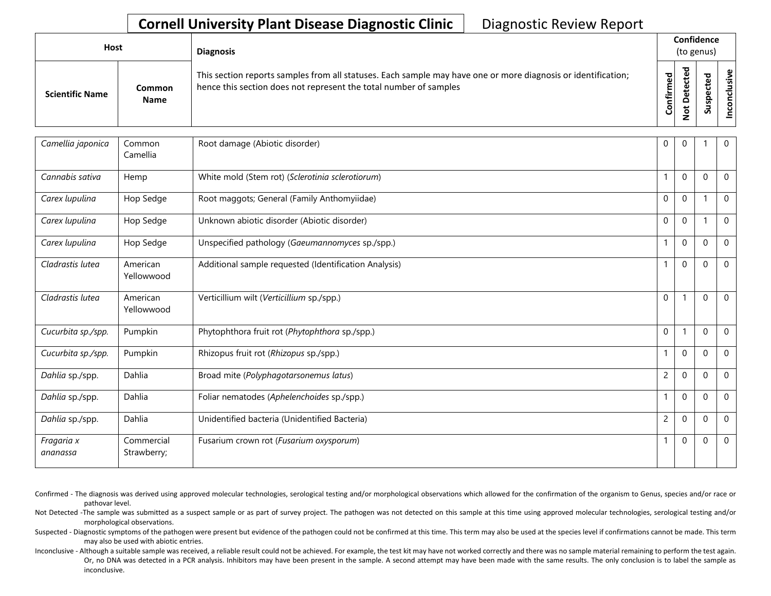| Host                   |                       | <b>Diagnosis</b>                                                                                                                                                                   |                                  | Confidence<br>(to genus) |          |              |
|------------------------|-----------------------|------------------------------------------------------------------------------------------------------------------------------------------------------------------------------------|----------------------------------|--------------------------|----------|--------------|
| <b>Scientific Name</b> | Common<br><b>Name</b> | This section reports samples from all statuses. Each sample may have one or more diagnosis or identification;<br>hence this section does not represent the total number of samples | ъ<br>$\mathbf{Q}$<br>nfirm<br>ပိ |                          | <b>S</b> | ω<br>'ল<br>Ō |

| Camellia japonica      | Common                    | Root damage (Abiotic disorder)                        | $\Omega$       | $\Omega$     |              | $\Omega$     |
|------------------------|---------------------------|-------------------------------------------------------|----------------|--------------|--------------|--------------|
|                        | Camellia                  |                                                       |                |              |              |              |
| Cannabis sativa        | Hemp                      | White mold (Stem rot) (Sclerotinia sclerotiorum)      | $\mathbf{1}$   | $\mathbf{0}$ | $\Omega$     | $\mathbf 0$  |
| Carex lupulina         | Hop Sedge                 | Root maggots; General (Family Anthomyiidae)           | $\mathbf 0$    | $\mathbf 0$  |              | $\mathbf 0$  |
| Carex lupulina         | Hop Sedge                 | Unknown abiotic disorder (Abiotic disorder)           | $\Omega$       | $\mathbf{0}$ |              | $\Omega$     |
| Carex lupulina         | Hop Sedge                 | Unspecified pathology (Gaeumannomyces sp./spp.)       | 1              | $\mathbf{0}$ | $\Omega$     | $\mathbf{0}$ |
| Cladrastis lutea       | American<br>Yellowwood    | Additional sample requested (Identification Analysis) |                | $\mathbf{0}$ | $\Omega$     | $\Omega$     |
| Cladrastis lutea       | American<br>Yellowwood    | Verticillium wilt (Verticillium sp./spp.)             | $\mathbf 0$    | 1            | $\mathbf 0$  | $\mathbf 0$  |
| Cucurbita sp./spp.     | Pumpkin                   | Phytophthora fruit rot (Phytophthora sp./spp.)        | $\mathbf 0$    | 1            | $\Omega$     | $\mathbf 0$  |
| Cucurbita sp./spp.     | Pumpkin                   | Rhizopus fruit rot (Rhizopus sp./spp.)                | $\mathbf{1}$   | $\mathbf 0$  | $\mathbf{0}$ | $\mathbf{0}$ |
| Dahlia sp./spp.        | Dahlia                    | Broad mite (Polyphagotarsonemus latus)                | $\overline{c}$ | $\mathbf{0}$ | $\Omega$     | $\Omega$     |
| Dahlia sp./spp.        | Dahlia                    | Foliar nematodes (Aphelenchoides sp./spp.)            |                | $\mathbf{0}$ | $\Omega$     | $\mathbf{0}$ |
| Dahlia sp./spp.        | Dahlia                    | Unidentified bacteria (Unidentified Bacteria)         | $\overline{2}$ | $\mathbf{0}$ | $\Omega$     | $\mathbf{0}$ |
| Fragaria x<br>ananassa | Commercial<br>Strawberry; | Fusarium crown rot (Fusarium oxysporum)               | $\mathbf{1}$   | $\mathbf 0$  | $\Omega$     | $\mathbf 0$  |

Confirmed - The diagnosis was derived using approved molecular technologies, serological testing and/or morphological observations which allowed for the confirmation of the organism to Genus, species and/or race or pathovar level.

Not Detected -The sample was submitted as a suspect sample or as part of survey project. The pathogen was not detected on this sample at this time using approved molecular technologies, serological testing and/or morphological observations.

Suspected - Diagnostic symptoms of the pathogen were present but evidence of the pathogen could not be confirmed at this time. This term may also be used at the species level if confirmations cannot be made. This term may also be used with abiotic entries.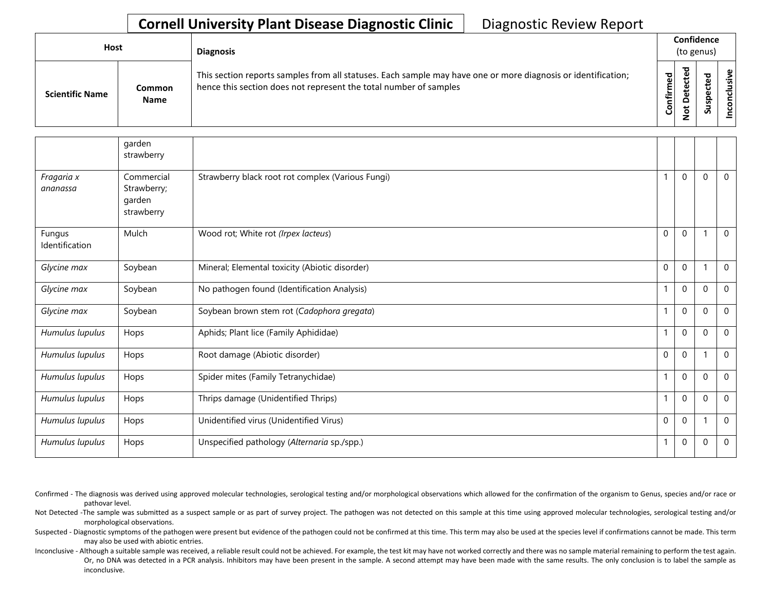| <b>Host</b>            |                       | <b>Diagnosis</b>                                                                                                                                                                   |           |                                  | Confidence<br>(to genus) |               |
|------------------------|-----------------------|------------------------------------------------------------------------------------------------------------------------------------------------------------------------------------|-----------|----------------------------------|--------------------------|---------------|
| <b>Scientific Name</b> | Common<br><b>Name</b> | This section reports samples from all statuses. Each sample may have one or more diagnosis or identification;<br>hence this section does not represent the total number of samples | Confirmed | ಕ<br>ں<br>ω<br>یو<br>≏<br>پ<br>Ö | n                        | ω<br>'ল<br>᠊ᠣ |

|                          | garden<br>strawberry                              |                                                   |             |                  |              |              |
|--------------------------|---------------------------------------------------|---------------------------------------------------|-------------|------------------|--------------|--------------|
| Fragaria x<br>ananassa   | Commercial<br>Strawberry;<br>garden<br>strawberry | Strawberry black root rot complex (Various Fungi) |             | $\mathbf 0$      | $\mathbf 0$  | $\mathbf 0$  |
| Fungus<br>Identification | Mulch                                             | Wood rot; White rot (Irpex lacteus)               | $\mathbf 0$ | $\mathbf 0$      | -1           | $\mathbf 0$  |
| Glycine max              | Soybean                                           | Mineral; Elemental toxicity (Abiotic disorder)    | 0           | $\pmb{0}$        | -1           | $\Omega$     |
| Glycine max              | Soybean                                           | No pathogen found (Identification Analysis)       |             | 0                | $\pmb{0}$    | $\mathbf 0$  |
| Glycine max              | Soybean                                           | Soybean brown stem rot (Cadophora gregata)        |             | 0                | $\Omega$     | $\mathbf{0}$ |
| Humulus lupulus          | Hops                                              | Aphids; Plant lice (Family Aphididae)             |             | $\mathbf 0$      | $\mathbf 0$  | $\mathbf{0}$ |
| Humulus lupulus          | Hops                                              | Root damage (Abiotic disorder)                    | $\mathbf 0$ | $\mathbf 0$      | $\mathbf{1}$ | $\mathbf 0$  |
| Humulus lupulus          | Hops                                              | Spider mites (Family Tetranychidae)               |             | $\boldsymbol{0}$ | $\Omega$     | $\Omega$     |
| Humulus lupulus          | Hops                                              | Thrips damage (Unidentified Thrips)               |             | 0                | $\mathbf 0$  | 0            |
| Humulus lupulus          | Hops                                              | Unidentified virus (Unidentified Virus)           | 0           | 0                | -1           | $\mathbf 0$  |
| Humulus lupulus          | Hops                                              | Unspecified pathology (Alternaria sp./spp.)       | 1           | $\pmb{0}$        | $\mathbf 0$  | 0            |

Confirmed - The diagnosis was derived using approved molecular technologies, serological testing and/or morphological observations which allowed for the confirmation of the organism to Genus, species and/or race or pathovar level.

Not Detected -The sample was submitted as a suspect sample or as part of survey project. The pathogen was not detected on this sample at this time using approved molecular technologies, serological testing and/or morphological observations.

Suspected - Diagnostic symptoms of the pathogen were present but evidence of the pathogen could not be confirmed at this time. This term may also be used at the species level if confirmations cannot be made. This term may also be used with abiotic entries.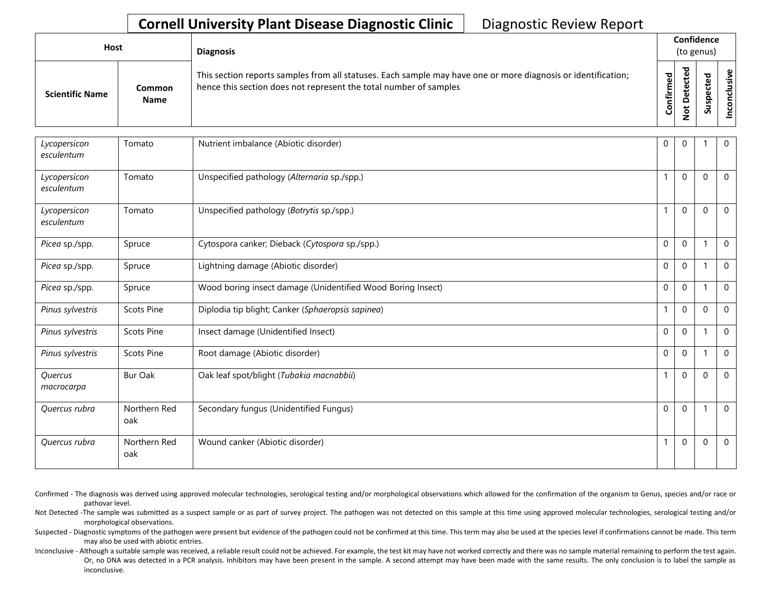| Host |                        |                       | <b>Diagnosis</b>                                                                                                                                                                   |           | Confidence<br>(to genus) |                            |      |
|------|------------------------|-----------------------|------------------------------------------------------------------------------------------------------------------------------------------------------------------------------------|-----------|--------------------------|----------------------------|------|
|      | <b>Scientific Name</b> | Common<br><b>Name</b> | This section reports samples from all statuses. Each sample may have one or more diagnosis or identification;<br>hence this section does not represent the total number of samples | Confirmed | ਠ<br>$\Omega$<br>پ       | ъ<br>உ<br>ω<br>௨<br>š<br>S | sive |

| Lycopersicon<br>esculentum | Tomato              | Nutrient imbalance (Abiotic disorder)                       | $\mathbf{0}$ | $\mathbf{0}$ |          | $\mathbf 0$    |
|----------------------------|---------------------|-------------------------------------------------------------|--------------|--------------|----------|----------------|
| Lycopersicon<br>esculentum | Tomato              | Unspecified pathology (Alternaria sp./spp.)                 | $\mathbf{1}$ | $\Omega$     | $\Omega$ | $\mathbf 0$    |
| Lycopersicon<br>esculentum | Tomato              | Unspecified pathology (Botrytis sp./spp.)                   | $\mathbf{1}$ | $\mathbf{0}$ | $\Omega$ | $\overline{0}$ |
| Picea sp./spp.             | Spruce              | Cytospora canker; Dieback (Cytospora sp./spp.)              | $\mathbf 0$  | $\mathbf 0$  |          | $\mathbf 0$    |
| Picea sp./spp.             | Spruce              | Lightning damage (Abiotic disorder)                         | $\mathbf 0$  | $\mathbf 0$  |          | $\mathbf 0$    |
| Picea sp./spp.             | Spruce              | Wood boring insect damage (Unidentified Wood Boring Insect) | $\mathbf{0}$ | $\Omega$     |          | $\mathbf{0}$   |
| Pinus sylvestris           | <b>Scots Pine</b>   | Diplodia tip blight; Canker (Sphaeropsis sapinea)           | $\mathbf{1}$ | $\mathbf{0}$ | $\Omega$ | $\mathbf 0$    |
| Pinus sylvestris           | <b>Scots Pine</b>   | Insect damage (Unidentified Insect)                         | $\mathbf{0}$ | $\mathbf{0}$ |          | $\mathbf{0}$   |
| Pinus sylvestris           | <b>Scots Pine</b>   | Root damage (Abiotic disorder)                              | $\mathbf{0}$ | $\Omega$     |          | $\mathbf 0$    |
| Quercus<br>macrocarpa      | <b>Bur Oak</b>      | Oak leaf spot/blight (Tubakia macnabbii)                    | $\mathbf{1}$ | $\mathbf 0$  | $\Omega$ | $\mathbf 0$    |
| Quercus rubra              | Northern Red<br>oak | Secondary fungus (Unidentified Fungus)                      | $\mathbf{0}$ | $\mathbf{0}$ |          | $\overline{0}$ |
| Quercus rubra              | Northern Red<br>oak | Wound canker (Abiotic disorder)                             | $\mathbf{1}$ | $\Omega$     | $\Omega$ | $\overline{0}$ |

- Confirmed The diagnosis was derived using approved molecular technologies, serological testing and/or morphological observations which allowed for the confirmation of the organism to Genus, species and/or race or pathovar level.
- Not Detected -The sample was submitted as a suspect sample or as part of survey project. The pathogen was not detected on this sample at this time using approved molecular technologies, serological testing and/or morphological observations.
- Suspected Diagnostic symptoms of the pathogen were present but evidence of the pathogen could not be confirmed at this time. This term may also be used at the species level if confirmations cannot be made. This term may also be used with abiotic entries.
- Or, no DNA was detected in a PCR analysis. Inhibitors may have been present in the sample. A second attempt may have been made with the same results. The only conclusion is to label the sample as Inconclusive - Although a suitable sample was received, a reliable result could not be achieved. For example, the test kit may have not worked correctly and there was no sample material remaining to perform the test again. inconclusive.